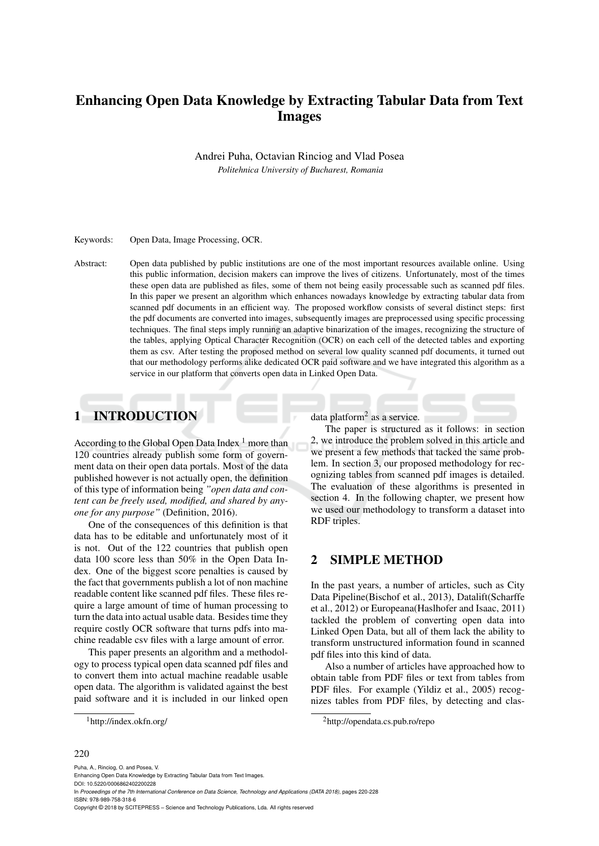# Enhancing Open Data Knowledge by Extracting Tabular Data from Text Images

Andrei Puha, Octavian Rinciog and Vlad Posea *Politehnica University of Bucharest, Romania*

Keywords: Open Data, Image Processing, OCR.

Abstract: Open data published by public institutions are one of the most important resources available online. Using this public information, decision makers can improve the lives of citizens. Unfortunately, most of the times these open data are published as files, some of them not being easily processable such as scanned pdf files. In this paper we present an algorithm which enhances nowadays knowledge by extracting tabular data from scanned pdf documents in an efficient way. The proposed workflow consists of several distinct steps: first the pdf documents are converted into images, subsequently images are preprocessed using specific processing techniques. The final steps imply running an adaptive binarization of the images, recognizing the structure of the tables, applying Optical Character Recognition (OCR) on each cell of the detected tables and exporting them as csv. After testing the proposed method on several low quality scanned pdf documents, it turned out that our methodology performs alike dedicated OCR paid software and we have integrated this algorithm as a service in our platform that converts open data in Linked Open Data.

## 1 INTRODUCTION

According to the Global Open Data Index  $<sup>1</sup>$  more than</sup> 120 countries already publish some form of government data on their open data portals. Most of the data published however is not actually open, the definition of this type of information being *"open data and content can be freely used, modified, and shared by anyone for any purpose"* (Definition, 2016).

One of the consequences of this definition is that data has to be editable and unfortunately most of it is not. Out of the 122 countries that publish open data 100 score less than 50% in the Open Data Index. One of the biggest score penalties is caused by the fact that governments publish a lot of non machine readable content like scanned pdf files. These files require a large amount of time of human processing to turn the data into actual usable data. Besides time they require costly OCR software that turns pdfs into machine readable csv files with a large amount of error.

This paper presents an algorithm and a methodology to process typical open data scanned pdf files and to convert them into actual machine readable usable open data. The algorithm is validated against the best paid software and it is included in our linked open

data platform<sup>2</sup> as a service.

The paper is structured as it follows: in section 2, we introduce the problem solved in this article and we present a few methods that tacked the same problem. In section 3, our proposed methodology for recognizing tables from scanned pdf images is detailed. The evaluation of these algorithms is presented in section 4. In the following chapter, we present how we used our methodology to transform a dataset into RDF triples.

## 2 SIMPLE METHOD

In the past years, a number of articles, such as City Data Pipeline(Bischof et al., 2013), Datalift(Scharffe et al., 2012) or Europeana(Haslhofer and Isaac, 2011) tackled the problem of converting open data into Linked Open Data, but all of them lack the ability to transform unstructured information found in scanned pdf files into this kind of data.

Also a number of articles have approached how to obtain table from PDF files or text from tables from PDF files. For example (Yildiz et al., 2005) recognizes tables from PDF files, by detecting and clas-

#### 220

<sup>1</sup>http://index.okfn.org/

<sup>2</sup>http://opendata.cs.pub.ro/repo

Puha, A., Rinciog, O. and Posea, V. Enhancing Open Data Knowledge by Extracting Tabular Data from Text Images. DOI: 10.5220/0006862402200228 In *Proceedings of the 7th International Conference on Data Science, Technology and Applications (DATA 2018)*, pages 220-228 ISBN: 978-989-758-318-6 Copyright © 2018 by SCITEPRESS – Science and Technology Publications, Lda. All rights reserved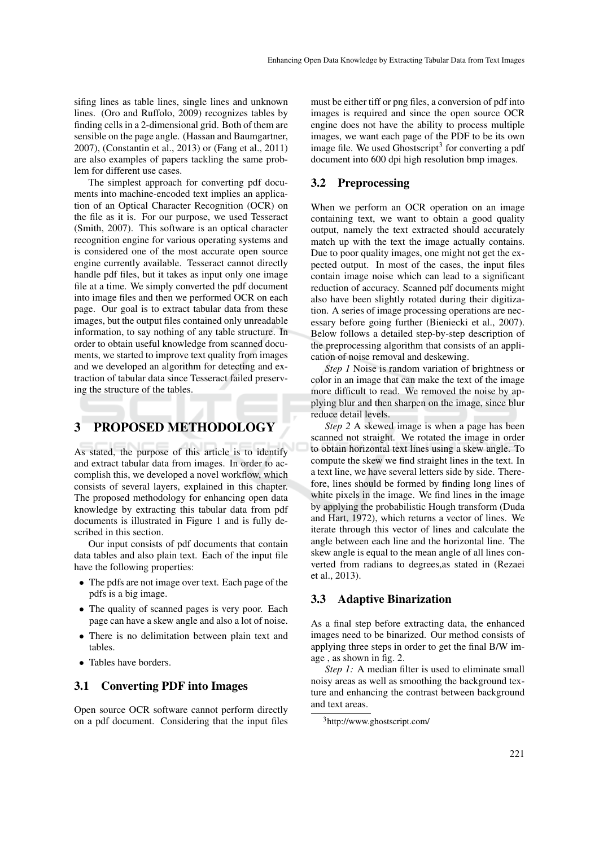sifing lines as table lines, single lines and unknown lines. (Oro and Ruffolo, 2009) recognizes tables by finding cells in a 2-dimensional grid. Both of them are sensible on the page angle. (Hassan and Baumgartner, 2007), (Constantin et al., 2013) or (Fang et al., 2011) are also examples of papers tackling the same problem for different use cases.

The simplest approach for converting pdf documents into machine-encoded text implies an application of an Optical Character Recognition (OCR) on the file as it is. For our purpose, we used Tesseract (Smith, 2007). This software is an optical character recognition engine for various operating systems and is considered one of the most accurate open source engine currently available. Tesseract cannot directly handle pdf files, but it takes as input only one image file at a time. We simply converted the pdf document into image files and then we performed OCR on each page. Our goal is to extract tabular data from these images, but the output files contained only unreadable information, to say nothing of any table structure. In order to obtain useful knowledge from scanned documents, we started to improve text quality from images and we developed an algorithm for detecting and extraction of tabular data since Tesseract failed preserving the structure of the tables.

# 3 PROPOSED METHODOLOGY

As stated, the purpose of this article is to identify and extract tabular data from images. In order to accomplish this, we developed a novel workflow, which consists of several layers, explained in this chapter. The proposed methodology for enhancing open data knowledge by extracting this tabular data from pdf documents is illustrated in Figure 1 and is fully described in this section.

Our input consists of pdf documents that contain data tables and also plain text. Each of the input file have the following properties:

- The pdfs are not image over text. Each page of the pdfs is a big image.
- The quality of scanned pages is very poor. Each page can have a skew angle and also a lot of noise.
- There is no delimitation between plain text and tables.
- Tables have borders.

## 3.1 Converting PDF into Images

Open source OCR software cannot perform directly on a pdf document. Considering that the input files

must be either tiff or png files, a conversion of pdf into images is required and since the open source OCR engine does not have the ability to process multiple images, we want each page of the PDF to be its own image file. We used Ghostscript<sup>3</sup> for converting a pdf document into 600 dpi high resolution bmp images.

### 3.2 Preprocessing

When we perform an OCR operation on an image containing text, we want to obtain a good quality output, namely the text extracted should accurately match up with the text the image actually contains. Due to poor quality images, one might not get the expected output. In most of the cases, the input files contain image noise which can lead to a significant reduction of accuracy. Scanned pdf documents might also have been slightly rotated during their digitization. A series of image processing operations are necessary before going further (Bieniecki et al., 2007). Below follows a detailed step-by-step description of the preprocessing algorithm that consists of an application of noise removal and deskewing.

*Step 1* Noise is random variation of brightness or color in an image that can make the text of the image more difficult to read. We removed the noise by applying blur and then sharpen on the image, since blur reduce detail levels.

*Step 2* A skewed image is when a page has been scanned not straight. We rotated the image in order to obtain horizontal text lines using a skew angle. To compute the skew we find straight lines in the text. In a text line, we have several letters side by side. Therefore, lines should be formed by finding long lines of white pixels in the image. We find lines in the image by applying the probabilistic Hough transform (Duda and Hart, 1972), which returns a vector of lines. We iterate through this vector of lines and calculate the angle between each line and the horizontal line. The skew angle is equal to the mean angle of all lines converted from radians to degrees,as stated in (Rezaei et al., 2013).

### 3.3 Adaptive Binarization

As a final step before extracting data, the enhanced images need to be binarized. Our method consists of applying three steps in order to get the final B/W image , as shown in fig. 2.

*Step 1:* A median filter is used to eliminate small noisy areas as well as smoothing the background texture and enhancing the contrast between background and text areas.

<sup>3</sup>http://www.ghostscript.com/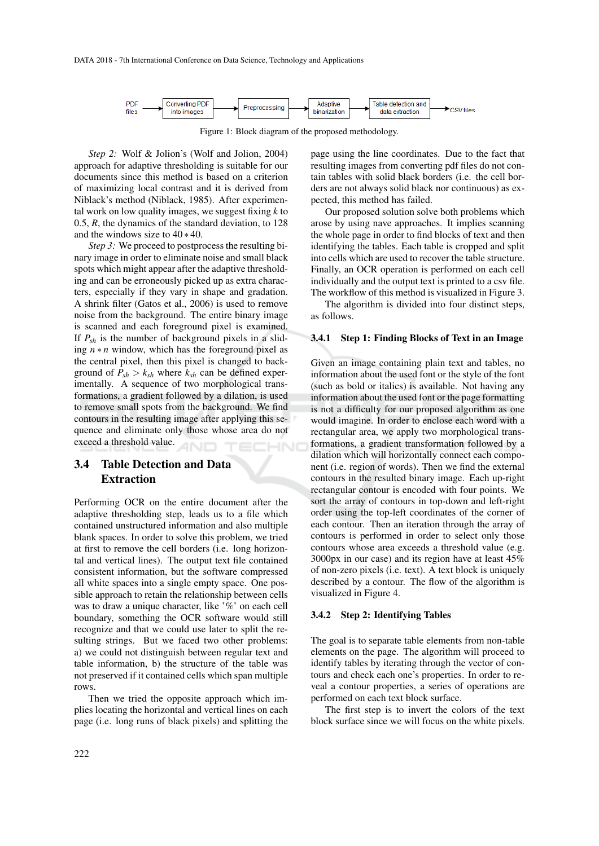

Figure 1: Block diagram of the proposed methodology.

*Step 2:* Wolf & Jolion's (Wolf and Jolion, 2004) approach for adaptive thresholding is suitable for our documents since this method is based on a criterion of maximizing local contrast and it is derived from Niblack's method (Niblack, 1985). After experimental work on low quality images, we suggest fixing *k* to 0.5, *R*, the dynamics of the standard deviation, to 128 and the windows size to 40 ∗ 40.

*Step 3:* We proceed to postprocess the resulting binary image in order to eliminate noise and small black spots which might appear after the adaptive thresholding and can be erroneously picked up as extra characters, especially if they vary in shape and gradation. A shrink filter (Gatos et al., 2006) is used to remove noise from the background. The entire binary image is scanned and each foreground pixel is examined. If  $P_{sh}$  is the number of background pixels in a sliding  $n * n$  window, which has the foreground pixel as the central pixel, then this pixel is changed to background of  $P_{sh} > k_{sh}$  where  $k_{sh}$  can be defined experimentally. A sequence of two morphological transformations, a gradient followed by a dilation, is used to remove small spots from the background. We find contours in the resulting image after applying this sequence and eliminate only those whose area do not exceed a threshold value.

## 3.4 Table Detection and Data Extraction

Performing OCR on the entire document after the adaptive thresholding step, leads us to a file which contained unstructured information and also multiple blank spaces. In order to solve this problem, we tried at first to remove the cell borders (i.e. long horizontal and vertical lines). The output text file contained consistent information, but the software compressed all white spaces into a single empty space. One possible approach to retain the relationship between cells was to draw a unique character, like '%' on each cell boundary, something the OCR software would still recognize and that we could use later to split the resulting strings. But we faced two other problems: a) we could not distinguish between regular text and table information, b) the structure of the table was not preserved if it contained cells which span multiple rows.

Then we tried the opposite approach which implies locating the horizontal and vertical lines on each page (i.e. long runs of black pixels) and splitting the page using the line coordinates. Due to the fact that resulting images from converting pdf files do not contain tables with solid black borders (i.e. the cell borders are not always solid black nor continuous) as expected, this method has failed.

Our proposed solution solve both problems which arose by using nave approaches. It implies scanning the whole page in order to find blocks of text and then identifying the tables. Each table is cropped and split into cells which are used to recover the table structure. Finally, an OCR operation is performed on each cell individually and the output text is printed to a csv file. The workflow of this method is visualized in Figure 3.

The algorithm is divided into four distinct steps, as follows.

#### 3.4.1 Step 1: Finding Blocks of Text in an Image

Given an image containing plain text and tables, no information about the used font or the style of the font (such as bold or italics) is available. Not having any information about the used font or the page formatting is not a difficulty for our proposed algorithm as one would imagine. In order to enclose each word with a rectangular area, we apply two morphological transformations, a gradient transformation followed by a dilation which will horizontally connect each component (i.e. region of words). Then we find the external contours in the resulted binary image. Each up-right rectangular contour is encoded with four points. We sort the array of contours in top-down and left-right order using the top-left coordinates of the corner of each contour. Then an iteration through the array of contours is performed in order to select only those contours whose area exceeds a threshold value (e.g. 3000px in our case) and its region have at least 45% of non-zero pixels (i.e. text). A text block is uniquely described by a contour. The flow of the algorithm is visualized in Figure 4.

#### 3.4.2 Step 2: Identifying Tables

The goal is to separate table elements from non-table elements on the page. The algorithm will proceed to identify tables by iterating through the vector of contours and check each one's properties. In order to reveal a contour properties, a series of operations are performed on each text block surface.

The first step is to invert the colors of the text block surface since we will focus on the white pixels.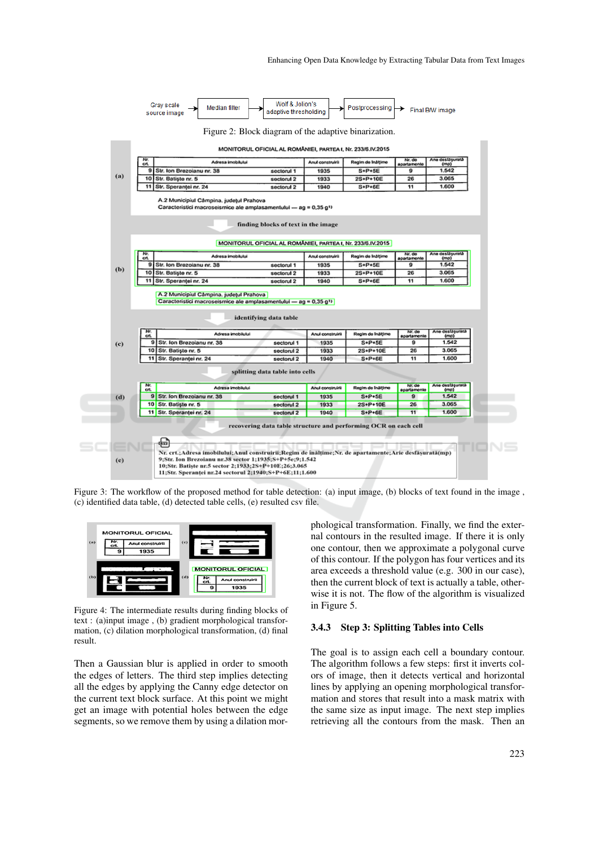|            | Nr.                                                                                                                                        | MONITORUL OFICIAL AL ROMÂNIEI, PARTEA I, Nr. 233/6.IV.2015 |                  |                   | Nr. do                | Ane desidsurată            |
|------------|--------------------------------------------------------------------------------------------------------------------------------------------|------------------------------------------------------------|------------------|-------------------|-----------------------|----------------------------|
|            | Adresa imobilului<br>crt.                                                                                                                  |                                                            | Anul construirii | Regim de Inâlțime | apartamento           | (mp)                       |
| (a)        | 9<br>Str. Ion Brezoianu nr. 38                                                                                                             | sectorul 1                                                 | 1935             | S+P+5E            | 9                     | 1.542                      |
|            | Str. Batisto nr. 5<br>10                                                                                                                   | sectorul 2                                                 | 1933             | 2S+P+10E          | 26                    | 3.065                      |
|            | 11<br>Str. Sperantei nr. 24                                                                                                                | sectorul 2                                                 | 1940             | S+P+6E            | 11                    | 1.600                      |
|            | A.2 Municipiul Câmpina, județul Prahova<br>Caracteristici macroseismice ale amplasamentului - ag = 0,35 g1)                                |                                                            |                  |                   |                       |                            |
|            |                                                                                                                                            | finding blocks of text in the image                        |                  |                   |                       |                            |
|            |                                                                                                                                            | MONITORUL OFICIAL AL ROMÂNIEI, PARTEA I, Nr. 233/6.IV.2015 |                  |                   |                       |                            |
|            | Nr.<br>Adresa imobilului<br>crt.                                                                                                           |                                                            | Anul construirii | Regim de Inâlțime | Nr. de<br>apartamente | Ane desfașurată<br>(mp)    |
|            | 9<br>Str. Ion Brezoianu nr. 38                                                                                                             | sectorul 1                                                 | 1935             | S+P+5E            | 9                     | 1.542                      |
|            |                                                                                                                                            |                                                            |                  |                   |                       |                            |
|            | 10<br>Str. Batiste nr. 5                                                                                                                   | sectorul 2                                                 | 1933             | 2S+P+10E          | 26                    | 3.065                      |
|            | 11<br>Str. Speranței nr. 24<br>A.2 Municipiul Câmpina, județul Prahova<br>Caracteristici macroseismice ale amplasamentului - ag = 0,35 g11 | sectorul 2                                                 | 1940             | $S+P+6E$          | 11                    | 1.600                      |
|            |                                                                                                                                            | identifying data table                                     |                  |                   |                       |                            |
|            | Nr.<br>Adresa Imobilului<br>crt.                                                                                                           |                                                            | Anul construirii | Regim de Ináltimo | Nr. de                | Ane desfasurata            |
|            | 9<br>Str. Ion Brezolanu nr. 38                                                                                                             | sectorul 1                                                 | 1935             | S+P+5E            | apartamente<br>9      | (m <sub>D</sub> )<br>1.542 |
|            | 10<br>Str. Batiste nr. 5                                                                                                                   | sectorul 2                                                 | 1933             | 2S+P+10E          | 26                    | 3.065                      |
|            | 11<br>Str. Speranței nr. 24                                                                                                                | sectorul 2                                                 | 1940             | S+P+6E            | 11                    | 1.600                      |
| (b)<br>(c) |                                                                                                                                            | splitting data table into cells                            |                  |                   |                       |                            |
|            | Nr.<br>Adresa imobilului<br>crt.                                                                                                           |                                                            | Anul construirii | Regim de Ináltimo | Nr. de<br>apartamente | Ane desfäsurata<br>(mp)    |
|            | $\mathbf{9}$<br>Str. Ion Brezoianu nr. 38                                                                                                  | sectorul 1                                                 | 1935             | $S+P+5E$          | $\mathbf{9}$          | 1.542                      |
|            | 10 Str. Batiste nr. 5                                                                                                                      | sectorul <sub>2</sub>                                      | 1933             | 2S+P+10E          | 26                    | 3.065                      |
| (d)        | 11 Str. Sperantei nr. 24                                                                                                                   | sectorul 2                                                 | 1940             | $S+P+6E$          | 11                    | 1,600                      |

Figure 3: The workflow of the proposed method for table detection: (a) input image, (b) blocks of text found in the image, (c) identified data table, (d) detected table cells, (e) resulted csv file.



Figure 4: The intermediate results during finding blocks of text : (a)input image , (b) gradient morphological transformation, (c) dilation morphological transformation, (d) final result.

Then a Gaussian blur is applied in order to smooth the edges of letters. The third step implies detecting all the edges by applying the Canny edge detector on the current text block surface. At this point we might get an image with potential holes between the edge segments, so we remove them by using a dilation morphological transformation. Finally, we find the external contours in the resulted image. If there it is only one contour, then we approximate a polygonal curve of this contour. If the polygon has four vertices and its area exceeds a threshold value (e.g. 300 in our case), then the current block of text is actually a table, otherwise it is not. The flow of the algorithm is visualized in Figure 5.

### 3.4.3 Step 3: Splitting Tables into Cells

The goal is to assign each cell a boundary contour. The algorithm follows a few steps: first it inverts colors of image, then it detects vertical and horizontal lines by applying an opening morphological transformation and stores that result into a mask matrix with the same size as input image. The next step implies retrieving all the contours from the mask. Then an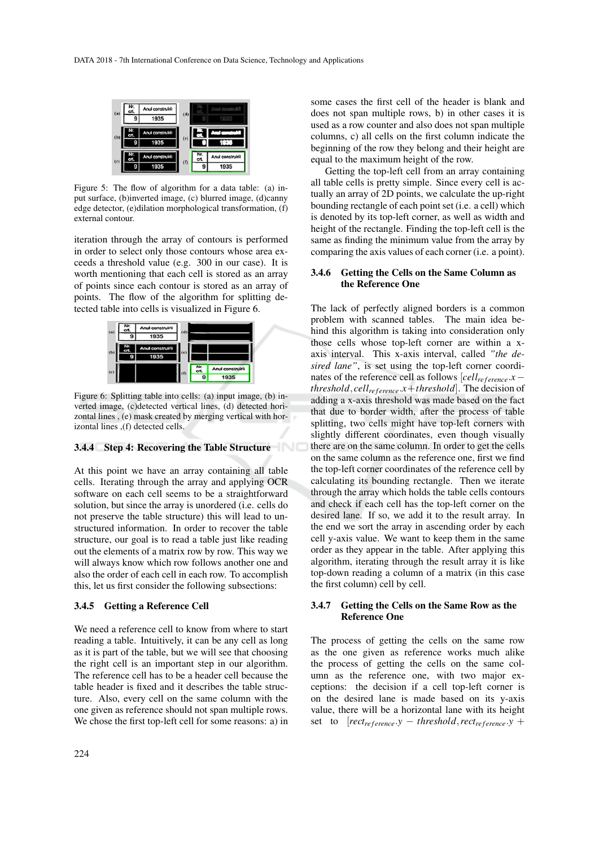

Figure 5: The flow of algorithm for a data table: (a) input surface, (b)inverted image, (c) blurred image, (d)canny edge detector, (e)dilation morphological transformation, (f) external contour.

iteration through the array of contours is performed in order to select only those contours whose area exceeds a threshold value (e.g. 300 in our case). It is worth mentioning that each cell is stored as an array of points since each contour is stored as an array of points. The flow of the algorithm for splitting detected table into cells is visualized in Figure 6.



Figure 6: Splitting table into cells: (a) input image, (b) inverted image, (c)detected vertical lines, (d) detected horizontal lines , (e) mask created by merging vertical with horizontal lines ,(f) detected cells.

### 3.4.4 Step 4: Recovering the Table Structure

At this point we have an array containing all table cells. Iterating through the array and applying OCR software on each cell seems to be a straightforward solution, but since the array is unordered (i.e. cells do not preserve the table structure) this will lead to unstructured information. In order to recover the table structure, our goal is to read a table just like reading out the elements of a matrix row by row. This way we will always know which row follows another one and also the order of each cell in each row. To accomplish this, let us first consider the following subsections:

#### 3.4.5 Getting a Reference Cell

We need a reference cell to know from where to start reading a table. Intuitively, it can be any cell as long as it is part of the table, but we will see that choosing the right cell is an important step in our algorithm. The reference cell has to be a header cell because the table header is fixed and it describes the table structure. Also, every cell on the same column with the one given as reference should not span multiple rows. We chose the first top-left cell for some reasons: a) in

some cases the first cell of the header is blank and does not span multiple rows, b) in other cases it is used as a row counter and also does not span multiple columns, c) all cells on the first column indicate the beginning of the row they belong and their height are equal to the maximum height of the row.

Getting the top-left cell from an array containing all table cells is pretty simple. Since every cell is actually an array of 2D points, we calculate the up-right bounding rectangle of each point set (i.e. a cell) which is denoted by its top-left corner, as well as width and height of the rectangle. Finding the top-left cell is the same as finding the minimum value from the array by comparing the axis values of each corner (i.e. a point).

#### 3.4.6 Getting the Cells on the Same Column as the Reference One

The lack of perfectly aligned borders is a common problem with scanned tables. The main idea behind this algorithm is taking into consideration only those cells whose top-left corner are within a xaxis interval. This x-axis interval, called *"the desired lane"*, is set using the top-left corner coordinates of the reference cell as follows  $[cell_{reference}.x$ *threshold*, *cell<sub>ref erence*. $x$ +*threshold*]. The decision of</sub> adding a x-axis threshold was made based on the fact that due to border width, after the process of table splitting, two cells might have top-left corners with slightly different coordinates, even though visually there are on the same column. In order to get the cells on the same column as the reference one, first we find the top-left corner coordinates of the reference cell by calculating its bounding rectangle. Then we iterate through the array which holds the table cells contours and check if each cell has the top-left corner on the desired lane. If so, we add it to the result array. In the end we sort the array in ascending order by each cell y-axis value. We want to keep them in the same order as they appear in the table. After applying this algorithm, iterating through the result array it is like top-down reading a column of a matrix (in this case the first column) cell by cell.

#### 3.4.7 Getting the Cells on the Same Row as the Reference One

The process of getting the cells on the same row as the one given as reference works much alike the process of getting the cells on the same column as the reference one, with two major exceptions: the decision if a cell top-left corner is on the desired lane is made based on its y-axis value, there will be a horizontal lane with its height set to  $[rect_{reference}.y - threshold, rect_{reference}.y +$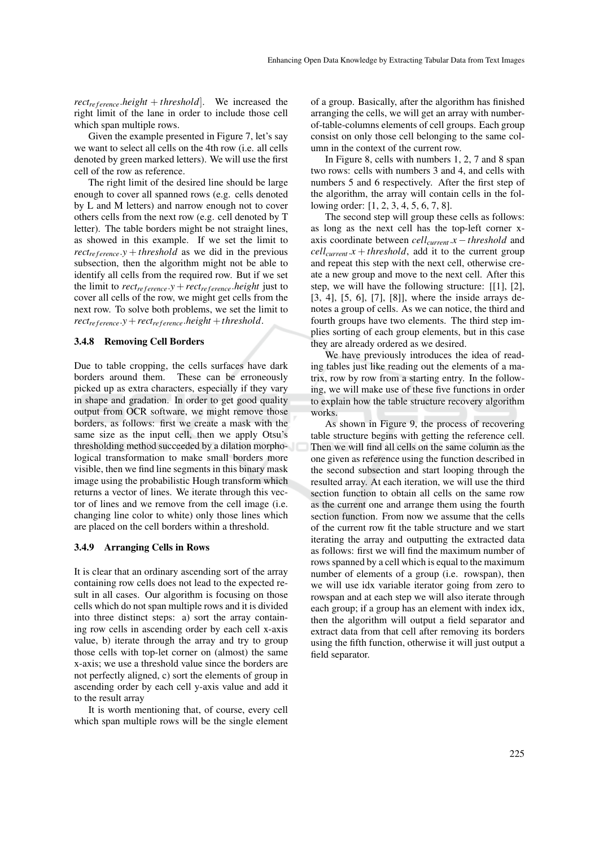*rect<sub>ref erence*.*height* + *threshold*. We increased the</sub> right limit of the lane in order to include those cell which span multiple rows.

Given the example presented in Figure 7, let's say we want to select all cells on the 4th row (i.e. all cells denoted by green marked letters). We will use the first cell of the row as reference.

The right limit of the desired line should be large enough to cover all spanned rows (e.g. cells denoted by L and M letters) and narrow enough not to cover others cells from the next row (e.g. cell denoted by T letter). The table borders might be not straight lines, as showed in this example. If we set the limit to  $rect_{reference}$ .*y* + *threshold* as we did in the previous subsection, then the algorithm might not be able to identify all cells from the required row. But if we set the limit to  $rect_{reference} \cdot y + rect_{reference} \cdot height$  just to cover all cells of the row, we might get cells from the next row. To solve both problems, we set the limit to  $rect_{reference} \cdot y + rect_{reference} \cdot height + threshold.$ 

#### 3.4.8 Removing Cell Borders

Due to table cropping, the cells surfaces have dark borders around them. These can be erroneously picked up as extra characters, especially if they vary in shape and gradation. In order to get good quality output from OCR software, we might remove those borders, as follows: first we create a mask with the same size as the input cell, then we apply Otsu's thresholding method succeeded by a dilation morphological transformation to make small borders more visible, then we find line segments in this binary mask image using the probabilistic Hough transform which returns a vector of lines. We iterate through this vector of lines and we remove from the cell image (i.e. changing line color to white) only those lines which are placed on the cell borders within a threshold.

#### 3.4.9 Arranging Cells in Rows

It is clear that an ordinary ascending sort of the array containing row cells does not lead to the expected result in all cases. Our algorithm is focusing on those cells which do not span multiple rows and it is divided into three distinct steps: a) sort the array containing row cells in ascending order by each cell x-axis value, b) iterate through the array and try to group those cells with top-let corner on (almost) the same x-axis; we use a threshold value since the borders are not perfectly aligned, c) sort the elements of group in ascending order by each cell y-axis value and add it to the result array

It is worth mentioning that, of course, every cell which span multiple rows will be the single element

of a group. Basically, after the algorithm has finished arranging the cells, we will get an array with numberof-table-columns elements of cell groups. Each group consist on only those cell belonging to the same column in the context of the current row.

In Figure 8, cells with numbers 1, 2, 7 and 8 span two rows: cells with numbers 3 and 4, and cells with numbers 5 and 6 respectively. After the first step of the algorithm, the array will contain cells in the following order: [1, 2, 3, 4, 5, 6, 7, 8].

The second step will group these cells as follows: as long as the next cell has the top-left corner xaxis coordinate between *cellcurrent*.*x* −*threshold* and  $cell_{current}.x + threshold, add it to the current group$ and repeat this step with the next cell, otherwise create a new group and move to the next cell. After this step, we will have the following structure: [[1], [2], [3, 4], [5, 6], [7], [8]], where the inside arrays denotes a group of cells. As we can notice, the third and fourth groups have two elements. The third step implies sorting of each group elements, but in this case they are already ordered as we desired.

We have previously introduces the idea of reading tables just like reading out the elements of a matrix, row by row from a starting entry. In the following, we will make use of these five functions in order to explain how the table structure recovery algorithm works.

As shown in Figure 9, the process of recovering table structure begins with getting the reference cell. Then we will find all cells on the same column as the one given as reference using the function described in the second subsection and start looping through the resulted array. At each iteration, we will use the third section function to obtain all cells on the same row as the current one and arrange them using the fourth section function. From now we assume that the cells of the current row fit the table structure and we start iterating the array and outputting the extracted data as follows: first we will find the maximum number of rows spanned by a cell which is equal to the maximum number of elements of a group (i.e. rowspan), then we will use idx variable iterator going from zero to rowspan and at each step we will also iterate through each group; if a group has an element with index idx, then the algorithm will output a field separator and extract data from that cell after removing its borders using the fifth function, otherwise it will just output a field separator.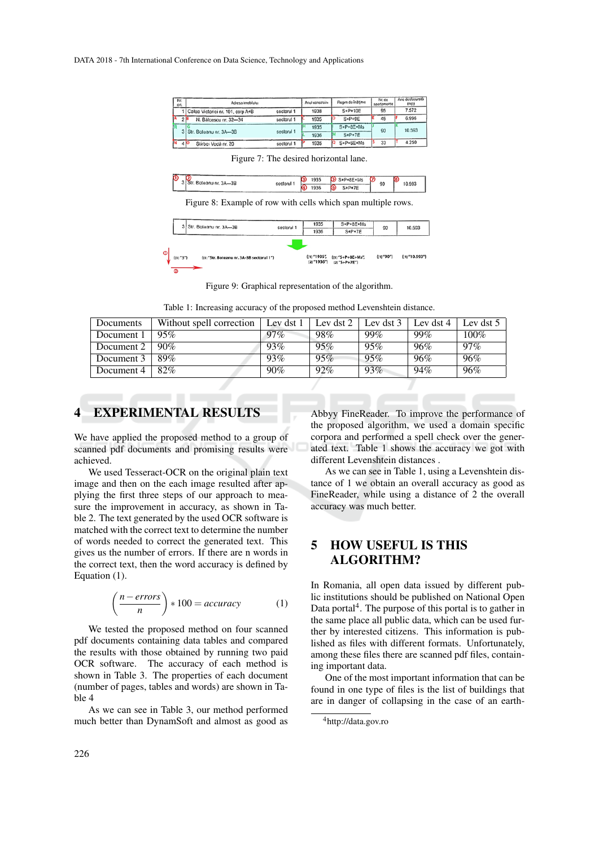| Nr.<br>cn. | Adresa imobilulu:                       |            | Anul construire | Regim de înătime | Nr. de<br>apartamente | Arie desfasurată<br>(m <sub>D</sub> ) |
|------------|-----------------------------------------|------------|-----------------|------------------|-----------------------|---------------------------------------|
|            | 1   Calea Victoriei nr. 101, corp A+B   | sectorul 1 | 1938            | S+P+10E          | 95                    | 7.572                                 |
|            | 2 <sup>1</sup><br>N. Bálcescu nr. 32-34 | sectorul 1 | 1935            | $S+P+9E$         | 45                    | 6.996                                 |
|            |                                         | sectorul 1 | 1935            | $S+P+8E+Ms$      | 90                    | 10.593                                |
|            | 3 Str. Boteanu nr. 3A-3B                |            | 1936            | $S+P+7E$         |                       |                                       |
|            | Stirhei Vortă nr 20<br>4 K              | sectorul 1 | 1935            | $S+P+6E+Ms$      | 33                    | 4.250                                 |

| 3 Str. Boteanu nr. 3A-3B | sectorul 1 | 1935<br>O | S +P+8E+Ms                           | 10.593<br>90 |
|--------------------------|------------|-----------|--------------------------------------|--------------|
|                          |            |           | $\sim$ $\bullet$ $\bullet$<br>S+P+7E |              |

Figure 7: The desired horizontal lane.

Figure 8: Example of row with cells which span multiple rows.

| 3 Str. Boteanu nr. 3A-3B | sectorul 1                                | 1935<br>1936                 | $S+P+8E+Ms$<br>$S+P+7E$              | 90         | 10.593           |
|--------------------------|-------------------------------------------|------------------------------|--------------------------------------|------------|------------------|
| (11"3")<br>œ             | {(1) "Str. Boteanu nr. 3A-3B sectorul 1"} | $(11'$ 1935",<br>[2] "1936"} | ${[11"5+P+8E+Ms"$<br>$[2]$ "S+P+7E"} | ${11"90"}$ | ${11''10.593''}$ |

Figure 9: Graphical representation of the algorithm.

Table 1: Increasing accuracy of the proposed method Levenshtein distance.

| Documents  | Without spell correction | Lev dst 1 | Lev dst 2 | Lev dst 3 | Lev dst $4$ | Lev dst 5 |
|------------|--------------------------|-----------|-----------|-----------|-------------|-----------|
| Document 1 | 95%                      | $97\%$    | 98%       | 99%       | 99%         | 100%      |
| Document 2 | 90%                      | 93%       | 95%       | 95%       | 96%         | $97\%$    |
| Document 3 | 89%                      | 93%       | 95%       | 95%       | 96%         | 96%       |
| Document 4 | 82%                      | 90%       | 92%       | 93%       | 94%         | 96%       |
|            |                          |           |           |           |             |           |

## 4 EXPERIMENTAL RESULTS

We have applied the proposed method to a group of scanned pdf documents and promising results were achieved.

We used Tesseract-OCR on the original plain text image and then on the each image resulted after applying the first three steps of our approach to measure the improvement in accuracy, as shown in Table 2. The text generated by the used OCR software is matched with the correct text to determine the number of words needed to correct the generated text. This gives us the number of errors. If there are n words in the correct text, then the word accuracy is defined by Equation (1).

$$
\left(\frac{n-errors}{n}\right) * 100 = accuracy \tag{1}
$$

We tested the proposed method on four scanned pdf documents containing data tables and compared the results with those obtained by running two paid OCR software. The accuracy of each method is shown in Table 3. The properties of each document (number of pages, tables and words) are shown in Table 4

As we can see in Table 3, our method performed much better than DynamSoft and almost as good as

Abbyy FineReader. To improve the performance of the proposed algorithm, we used a domain specific corpora and performed a spell check over the generated text. Table 1 shows the accuracy we got with different Levenshtein distances .

As we can see in Table 1, using a Levenshtein distance of 1 we obtain an overall accuracy as good as FineReader, while using a distance of 2 the overall accuracy was much better.

# 5 HOW USEFUL IS THIS ALGORITHM?

In Romania, all open data issued by different public institutions should be published on National Open Data portal<sup>4</sup>. The purpose of this portal is to gather in the same place all public data, which can be used further by interested citizens. This information is published as files with different formats. Unfortunately, among these files there are scanned pdf files, containing important data.

One of the most important information that can be found in one type of files is the list of buildings that are in danger of collapsing in the case of an earth-

<sup>4</sup>http://data.gov.ro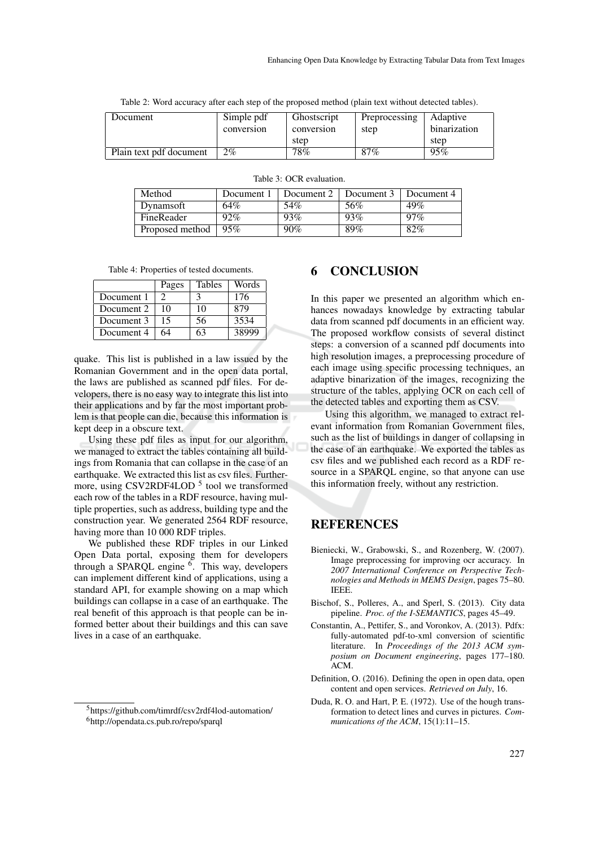|  |  |  |  |  | Table 2: Word accuracy after each step of the proposed method (plain text without detected tables). |  |
|--|--|--|--|--|-----------------------------------------------------------------------------------------------------|--|
|--|--|--|--|--|-----------------------------------------------------------------------------------------------------|--|

| Document                | Simple pdf | Ghostscript | Preprocessing | Adaptive     |
|-------------------------|------------|-------------|---------------|--------------|
|                         | conversion | conversion  | step          | binarization |
|                         |            | step        |               | step         |
| Plain text pdf document | $2\%$      | 78%         | 87%           | 95%          |

| Method          | Document 1 | Document 2 | Document 3 | Document 4 |  |  |  |
|-----------------|------------|------------|------------|------------|--|--|--|
| Dynamsoft       | 64%        | 54%        | 56%        | 49%        |  |  |  |
| FineReader      | 92%        | 93%        | 93%        | $97\%$     |  |  |  |
| Proposed method | 95%        | 90%        | 89%        | 82%        |  |  |  |

Table 3: OCR evaluation.

Table 4: Properties of tested documents.

|            | Pages | <b>Tables</b> | Words |
|------------|-------|---------------|-------|
| Document 1 |       |               | 176   |
| Document 2 | 10    | 10            | 879   |
| Document 3 | 15    | 56            | 3534  |
| Document 4 | 64    |               | 38999 |

quake. This list is published in a law issued by the Romanian Government and in the open data portal, the laws are published as scanned pdf files. For developers, there is no easy way to integrate this list into their applications and by far the most important problem is that people can die, because this information is kept deep in a obscure text.

Using these pdf files as input for our algorithm, we managed to extract the tables containing all buildings from Romania that can collapse in the case of an earthquake. We extracted this list as csv files. Furthermore, using CSV2RDF4LOD<sup>5</sup> tool we transformed each row of the tables in a RDF resource, having multiple properties, such as address, building type and the construction year. We generated 2564 RDF resource, having more than 10 000 RDF triples.

We published these RDF triples in our Linked Open Data portal, exposing them for developers through a SPARQL engine <sup>6</sup>. This way, developers can implement different kind of applications, using a standard API, for example showing on a map which buildings can collapse in a case of an earthquake. The real benefit of this approach is that people can be informed better about their buildings and this can save lives in a case of an earthquake.

## 6 CONCLUSION

In this paper we presented an algorithm which enhances nowadays knowledge by extracting tabular data from scanned pdf documents in an efficient way. The proposed workflow consists of several distinct steps: a conversion of a scanned pdf documents into high resolution images, a preprocessing procedure of each image using specific processing techniques, an adaptive binarization of the images, recognizing the structure of the tables, applying OCR on each cell of the detected tables and exporting them as CSV.

Using this algorithm, we managed to extract relevant information from Romanian Government files, such as the list of buildings in danger of collapsing in the case of an earthquake. We exported the tables as csv files and we published each record as a RDF resource in a SPARQL engine, so that anyone can use this information freely, without any restriction.

## **REFERENCES**

- Bieniecki, W., Grabowski, S., and Rozenberg, W. (2007). Image preprocessing for improving ocr accuracy. In *2007 International Conference on Perspective Technologies and Methods in MEMS Design*, pages 75–80. IEEE.
- Bischof, S., Polleres, A., and Sperl, S. (2013). City data pipeline. *Proc. of the I-SEMANTICS*, pages 45–49.
- Constantin, A., Pettifer, S., and Voronkov, A. (2013). Pdfx: fully-automated pdf-to-xml conversion of scientific literature. In *Proceedings of the 2013 ACM symposium on Document engineering*, pages 177–180. ACM.
- Definition, O. (2016). Defining the open in open data, open content and open services. *Retrieved on July*, 16.
- Duda, R. O. and Hart, P. E. (1972). Use of the hough transformation to detect lines and curves in pictures. *Communications of the ACM*, 15(1):11–15.

<sup>5</sup>https://github.com/timrdf/csv2rdf4lod-automation/ <sup>6</sup>http://opendata.cs.pub.ro/repo/sparql